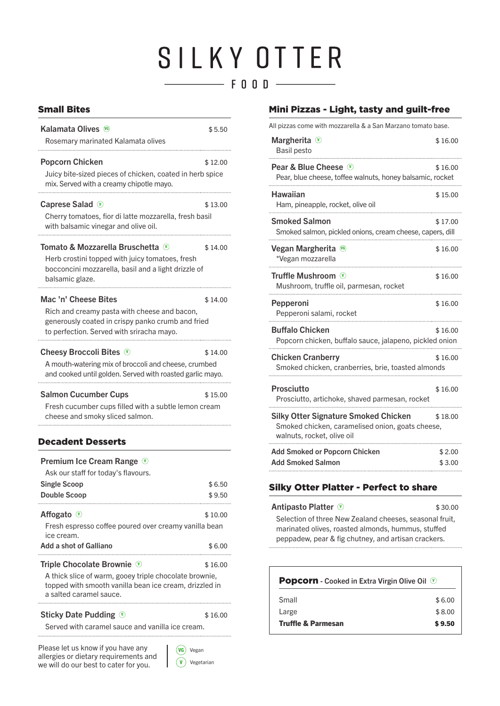## SILKY OTTER F OOD

| <b>Kalamata Olives</b> 6                                                                                                                                       | \$5.50            | All pizzas come with mozzarella & a San Marzano tomato base.                                                                                                                                         |                  |
|----------------------------------------------------------------------------------------------------------------------------------------------------------------|-------------------|------------------------------------------------------------------------------------------------------------------------------------------------------------------------------------------------------|------------------|
| Rosemary marinated Kalamata olives                                                                                                                             |                   | Margherita $\mathcal{V}$<br>Basil pesto                                                                                                                                                              | \$16.00          |
| <b>Popcorn Chicken</b><br>Juicy bite-sized pieces of chicken, coated in herb spice<br>mix. Served with a creamy chipotle mayo.                                 | \$12.00           | Pear & Blue Cheese V<br>Pear, blue cheese, toffee walnuts, honey balsamic, rocket                                                                                                                    | \$16.00          |
| <b>Caprese Salad</b> $\odot$                                                                                                                                   | \$13.00           | <b>Hawaiian</b><br>Ham, pineapple, rocket, olive oil                                                                                                                                                 | \$15.00          |
| Cherry tomatoes, fior di latte mozzarella, fresh basil<br>with balsamic vinegar and olive oil.                                                                 |                   | <b>Smoked Salmon</b><br>Smoked salmon, pickled onions, cream cheese, capers, dill                                                                                                                    | \$17.00          |
| Tomato & Mozzarella Bruschetta (0)<br>Herb crostini topped with juicy tomatoes, fresh                                                                          | \$14.00           | Vegan Margherita <sup>66</sup><br>*Vegan mozzarella                                                                                                                                                  | \$16.00          |
| bocconcini mozzarella, basil and a light drizzle of<br>balsamic glaze.                                                                                         |                   | Truffle Mushroom $\mathbb{V}$<br>Mushroom, truffle oil, parmesan, rocket                                                                                                                             | \$16.00          |
| Mac 'n' Cheese Bites<br>Rich and creamy pasta with cheese and bacon,                                                                                           | \$14.00           | <b>Pepperoni</b><br>Pepperoni salami, rocket                                                                                                                                                         | \$16.00          |
| generously coated in crispy panko crumb and fried<br>to perfection. Served with sriracha mayo.                                                                 |                   | <b>Buffalo Chicken</b><br>Popcorn chicken, buffalo sauce, jalapeno, pickled onion                                                                                                                    | \$16.00          |
| <b>Cheesy Broccoli Bites</b> $\heartsuit$<br>A mouth-watering mix of broccoli and cheese, crumbed<br>and cooked until golden. Served with roasted garlic mayo. | \$14.00           | <b>Chicken Cranberry</b><br>Smoked chicken, cranberries, brie, toasted almonds                                                                                                                       | \$16.00          |
| <b>Salmon Cucumber Cups</b>                                                                                                                                    | \$15.00           | Prosciutto<br>Prosciutto, artichoke, shaved parmesan, rocket                                                                                                                                         | \$16.00          |
| Fresh cucumber cups filled with a subtle lemon cream<br>cheese and smoky sliced salmon.                                                                        |                   | <b>Silky Otter Signature Smoked Chicken</b><br>Smoked chicken, caramelised onion, goats cheese,<br>walnuts, rocket, olive oil                                                                        | \$18.00          |
| <b>Decadent Desserts</b><br><b>Premium Ice Cream Range 10</b>                                                                                                  |                   | <b>Add Smoked or Popcorn Chicken</b><br><b>Add Smoked Salmon</b>                                                                                                                                     | \$2.00<br>\$3.00 |
| Ask our staff for today's flavours.                                                                                                                            |                   |                                                                                                                                                                                                      |                  |
| <b>Single Scoop</b><br><b>Double Scoop</b>                                                                                                                     | \$6.50<br>\$9.50  | <b>Silky Otter Platter - Perfect to share</b>                                                                                                                                                        |                  |
| Affogato <sup>1</sup><br>Fresh espresso coffee poured over creamy vanilla bean<br>ice cream.<br><b>Add a shot of Galliano</b>                                  | \$10.00<br>\$6.00 | <b>Antipasto Platter (V)</b><br>Selection of three New Zealand cheeses, seasonal fruit,<br>marinated olives, roasted almonds, hummus, stuffed<br>peppadew, pear & fig chutney, and artisan crackers. | \$30.00          |
| Triple Chocolate Brownie <sup>10</sup><br>A thick slice of warm, gooey triple chocolate brownie,<br>topped with smooth vanilla bean ice cream, drizzled in     | \$16.00           | <b>Popcorn</b> - Cooked in Extra Virgin Olive Oil <sup>1</sup>                                                                                                                                       |                  |

a salted caramel sauce.

#### Sticky Date Pudding  $\heartsuit$  \$16.00

Served with caramel sauce and vanilla ice cream.

Please let us know if you have any  $\left\{\right.$  (vG) vegan allergies or dietary requirements and we will do our best to cater for you.



#### Small Bites **Mini Pizzas - Light, tasty and guilt-free**

| Margherita $\mathcal{D}$<br>Basil pesto                                                                                       | \$16.00          |
|-------------------------------------------------------------------------------------------------------------------------------|------------------|
| <b>Pear &amp; Blue Cheese</b> $\overline{\mathbf{v}}$<br>Pear, blue cheese, toffee walnuts, honey balsamic, rocket            | \$16.00          |
| Hawaiian<br>Ham, pineapple, rocket, olive oil                                                                                 | \$15.00          |
| <b>Smoked Salmon</b><br>Smoked salmon, pickled onions, cream cheese, capers, dill                                             | \$17.00          |
| Vegan Margherita<br>( <b>v</b> )<br>*Vegan mozzarella                                                                         | \$16.00          |
| Truffle Mushroom (V)<br>Mushroom, truffle oil, parmesan, rocket                                                               | \$16.00          |
| <b>Pepperoni</b><br>Pepperoni salami, rocket                                                                                  | \$16.00          |
| <b>Buffalo Chicken</b><br>Popcorn chicken, buffalo sauce, jalapeno, pickled onion                                             | \$16.00          |
| <b>Chicken Cranberry</b><br>Smoked chicken, cranberries, brie, toasted almonds                                                | \$16.00          |
| <b>Prosciutto</b><br>Prosciutto, artichoke, shaved parmesan, rocket                                                           | \$16.00          |
| <b>Silky Otter Signature Smoked Chicken</b><br>Smoked chicken, caramelised onion, goats cheese,<br>walnuts, rocket, olive oil | \$18.00          |
| <b>Add Smoked or Popcorn Chicken</b><br><b>Add Smoked Salmon</b>                                                              | \$2.00<br>\$3.00 |

#### Silky Otter Platter - Perfect to share

| Antipasto Platter ①                                     | \$30.00 |
|---------------------------------------------------------|---------|
| Selection of three New Zealand cheeses, seasonal fruit, |         |
| marinated olives, roasted almonds, hummus, stuffed      |         |
| peppadew, pear & fig chutney, and artisan crackers.     |         |

| <b>Popcorn</b> - Cooked in Extra Virgin Olive Oil (V) |        |
|-------------------------------------------------------|--------|
| Small                                                 | \$6.00 |
| Large                                                 | \$8.00 |
| <b>Truffle &amp; Parmesan</b>                         | \$9,50 |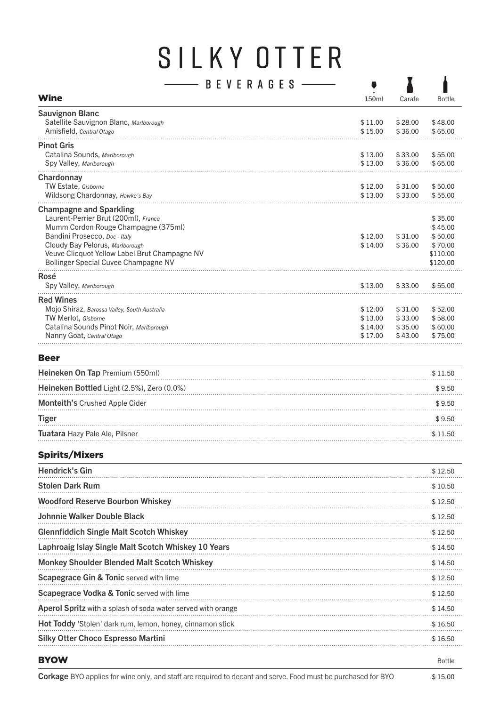# SILKY OTTER

| B<br>AGES                                     |         |         |               |
|-----------------------------------------------|---------|---------|---------------|
| <b>Wine</b>                                   | 150ml   | Carafe  | <b>Bottle</b> |
| <b>Sauvignon Blanc</b>                        |         |         |               |
| Satellite Sauvignon Blanc, Marlborough        | \$11.00 | \$28.00 | \$48.00       |
| Amisfield, Central Otago                      | \$15.00 | \$36.00 | \$65.00       |
| <b>Pinot Gris</b>                             |         |         |               |
| Catalina Sounds, Marlborough                  | \$13.00 | \$33.00 | \$55.00       |
| Spy Valley, Marlborough                       | \$13.00 | \$36.00 | \$65.00       |
| Chardonnay                                    |         |         |               |
| TW Estate, Gisborne                           | \$12.00 | \$31.00 | \$50.00       |
| Wildsong Chardonnay, Hawke's Bay              | \$13.00 | \$33.00 | \$55.00       |
| <b>Champagne and Sparkling</b>                |         |         |               |
| Laurent-Perrier Brut (200ml), France          |         |         | \$35.00       |
| Mumm Cordon Rouge Champagne (375ml)           |         |         | \$45.00       |
| Bandini Prosecco, Doc - Italy                 | \$12.00 | \$31.00 | \$50.00       |
| Cloudy Bay Pelorus, Marlborough               | \$14.00 | \$36.00 | \$70.00       |
| Veuve Clicquot Yellow Label Brut Champagne NV |         |         | \$110.00      |
| Bollinger Special Cuvee Champagne NV          |         |         | \$120.00      |
| Rosé                                          |         |         |               |
| Spy Valley, Marlborough                       | \$13.00 | \$33.00 | \$55.00       |
| <b>Red Wines</b>                              |         |         |               |
| Mojo Shiraz, Barossa Valley, South Australia  | \$12.00 | \$31.00 | \$52.00       |
| <b>TW Merlot, Gisborne</b>                    | \$13.00 | \$33.00 | \$58.00       |
| Catalina Sounds Pinot Noir, Marlborough       | \$14.00 | \$35.00 | \$60.00       |
| Nanny Goat, Central Otago                     | \$17.00 | \$43.00 | \$75.00       |
|                                               |         |         |               |

#### Beer

| Heineken On Tap Premium (550ml)            | \$11.50 |
|--------------------------------------------|---------|
| Heineken Bottled Light (2.5%), Zero (0.0%) | \$9.50  |
| <b>Monteith's Crushed Apple Cider</b>      | \$9.50  |
| Tiger                                      | \$9.50  |
| Tuatara Hazy Pale Ale, Pilsner             | \$11.50 |

#### Spirits/Mixers

| <b>Hendrick's Gin</b>                                               | \$12.50       |
|---------------------------------------------------------------------|---------------|
| <b>Stolen Dark Rum</b>                                              | \$10.50       |
| <b>Woodford Reserve Bourbon Whiskey</b>                             | \$12.50       |
| Johnnie Walker Double Black                                         | \$12.50       |
| <b>Glennfiddich Single Malt Scotch Whiskey</b>                      | \$12.50       |
| Laphroaig Islay Single Malt Scotch Whiskey 10 Years                 | \$14.50       |
| <b>Monkey Shoulder Blended Malt Scotch Whiskey</b>                  | \$14.50       |
| <b>Scapegrace Gin &amp; Tonic served with lime</b>                  | \$12.50       |
| Scapegrace Vodka & Tonic served with lime                           | \$12.50       |
| <b>Aperol Spritz</b> with a splash of soda water served with orange | \$14.50       |
| <b>Hot Toddy</b> 'Stolen' dark rum, lemon, honey, cinnamon stick    | \$16.50       |
| <b>Silky Otter Choco Espresso Martini</b>                           | \$16.50       |
| <b>BYOW</b>                                                         | <b>Bottle</b> |